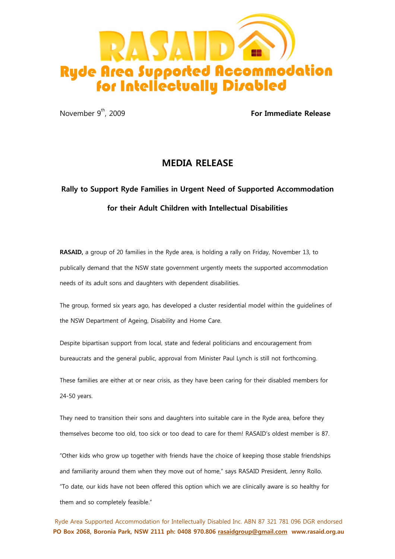

November 9th, 2009 **For Immediate Release**

## **MEDIA RELEASE**

## **Rally to Support Ryde Families in Urgent Need of Supported Accommodation for their Adult Children with Intellectual Disabilities**

**RASAID,** a group of 20 families in the Ryde area, is holding a rally on Friday, November 13, to publically demand that the NSW state government urgently meets the supported accommodation needs of its adult sons and daughters with dependent disabilities.

The group, formed six years ago, has developed a cluster residential model within the guidelines of the NSW Department of Ageing, Disability and Home Care.

Despite bipartisan support from local, state and federal politicians and encouragement from bureaucrats and the general public, approval from Minister Paul Lynch is still not forthcoming.

These families are either at or near crisis, as they have been caring for their disabled members for 24-50 years.

They need to transition their sons and daughters into suitable care in the Ryde area, before they themselves become too old, too sick or too dead to care for them! RASAID's oldest member is 87.

"Other kids who grow up together with friends have the choice of keeping those stable friendships and familiarity around them when they move out of home," says RASAID President, Jenny Rollo. "To date, our kids have not been offered this option which we are clinically aware is so healthy for them and so completely feasible."

Ryde Area Supported Accommodation for Intellectually Disabled Inc. ABN 87 321 781 096 DGR endorsed **PO Box 2068, Boronia Park, NSW 2111 ph: 0408 970.806 [rasaidgroup@gmail.com](mailto:rasaidgroup@gmail.com) www.rasaid.org.au**